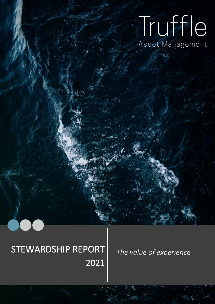# Truffle Asset Management

## STEWARDSHIP REPORT The value of experience 2021

 $\overline{\phantom{a}}$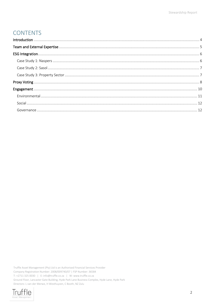## **CONTENTS**

Truffle Asset Management (Pty) Ltd is an Authorised Financial Services Provider Company Registration Number: 2008/009740/07 | FSP Number: 36584 T: +2711 325 0030 | E: info@truffle.co.za | W: www.truffle.co.za Ground Floor, Lancaster Gate Building, Hyde Park Lane Business Complex, Hyde Lane, Hyde Park Directors: L van der Merwe, H Westhuyzen, C Booth, NZ Zulu

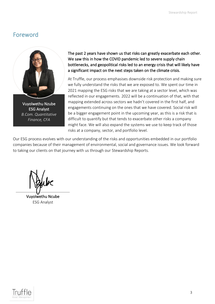## Foreword



Vuyolwethu Nzube ESG Analyst *B.Com. Quantitative Finance, CFA*

#### The past 2 years have shown us that risks can greatly exacerbate each other. We saw this in how the COVID pandemic led to severe supply chain bottlenecks, and geopolitical risks led to an energy crisis that will likely have a significant impact on the next steps taken on the climate crisis.

At Truffle, our process emphasises downside risk protection and making sure we fully understand the risks that we are exposed to. We spent our time in 2021 mapping the ESG risks that we are taking at a sector level, which was reflected in our engagements. 2022 will be a continuation of that, with that mapping extended across sectors we hadn't covered in the first half, and engagements continuing on the ones that we have covered. Social risk will be a bigger engagement point in the upcoming year, as this is a risk that is difficult to quantify but that tends to exacerbate other risks a company might face. We will also expand the systems we use to keep track of those risks at a company, sector, and portfolio level.

Our ESG process evolves with our understanding of the risks and opportunities embedded in our portfolio companies because of their management of environmental, social and governance issues. We look forward to taking our clients on that journey with us through our Stewardship Reports.

Vuyolwethu Ncube ESG Analyst

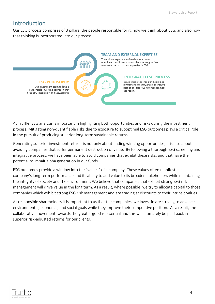## <span id="page-3-0"></span>Introduction

Our ESG process comprises of 3 pillars: the people responsible for it, how we think about ESG, and also how that thinking is incorporated into our process.



At Truffle, ESG analysis is important in highlighting both opportunities and risks during the investment process. Mitigating non-quantifiable risks due to exposure to suboptimal ESG outcomes plays a critical role in the pursuit of producing superior long-term sustainable returns.

Generating superior investment returns is not only about finding winning opportunities, it is also about avoiding companies that suffer permanent destruction of value. By following a thorough ESG screening and integrative process, we have been able to avoid companies that exhibit these risks, and that have the potential to impair alpha generation in our funds.

ESG outcomes provide a window into the "values" of a company. These values often manifest in a company's long-term performance and its ability to add value to its broader stakeholders while maintaining the integrity of society and the environment. We believe that companies that exhibit strong ESG risk management will drive value in the long term. As a result, where possible, we try to allocate capital to those companies which exhibit strong ESG risk management and are trading at discounts to their intrinsic values.

As responsible shareholders it is important to us that the companies, we invest in are striving to advance environmental, economic, and social goals while they improve their competitive position. As a result, the collaborative movement towards the greater good is essential and this will ultimately be paid back in superior risk-adjusted returns for our clients.

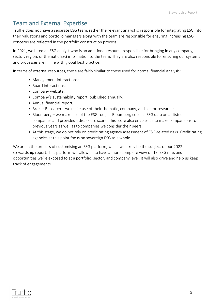## <span id="page-4-0"></span>Team and External Expertise

Truffle does not have a separate ESG team, rather the relevant analyst is responsible for integrating ESG into their valuations and portfolio managers along with the team are responsible for ensuring increasing ESG concerns are reflected in the portfolio construction process.

In 2021, we hired an ESG analyst who is an additional resource responsible for bringing in any company, sector, region, or thematic ESG information to the team. They are also responsible for ensuring our systems and processes are in line with global best practice.

In terms of external resources, these are fairly similar to those used for normal financial analysis:

- Management interactions;
- Board interactions;
- Company website;
- Company's sustainability report, published annually;
- Annual financial report;
- Broker Research we make use of their thematic, company, and sector research;
- Bloomberg we make use of the ESG tool, as Bloomberg collects ESG data on all listed companies and provides a disclosure score. This score also enables us to make comparisons to previous years as well as to companies we consider their peers;
- At this stage, we do not rely on credit rating agency assessment of ESG-related risks. Credit rating agencies at this point focus on sovereign ESG as a whole.

We are in the process of customising an ESG platform, which will likely be the subject of our 2022 stewardship report. This platform will allow us to have a more complete view of the ESG risks and opportunities we're exposed to at a portfolio, sector, and company level. It will also drive and help us keep track of engagements.

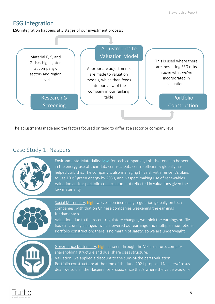## <span id="page-5-0"></span>ESG Integration

ESG integration happens at 3 stages of our investment process:



The adjustments made and the factors focused on tend to differ at a sector or company level.

## <span id="page-5-1"></span>Case Study 1: Naspers



Environmental Materiality: low, for tech companies, this risk tends to be seen in the energy use of their data centres. Data centre efficiency globally has helped curb this. The company is also managing this risk with Tencent's plans to use 100% green energy by 2030, and Naspers making use of renewables Valuation and/or portfolio construction: not reflected in valuations given the low materiality



NPN/PRX

Social Materiality: high, we've seen increasing regulation globally on tech companies, with that on Chinese companies weakening the earnings fundamentals.

Valuation: due to the recent regulatory changes, we think the earnings profile has structurally changed, which lowered our earnings and multiple assumptions. Portfolio construction: there is no margin of safety, so we are underweight



Governance Materiality: high, as seen through the VIE structure, complex shareholding structure and dual share class structure. Valuation: we applied a discount to the sum-of-the parts valuation Portfolio construction: at the time of the June 2021 proposed Naspers/Prosus deal, we sold all the Naspers for Prosus, since that's where the value would lie.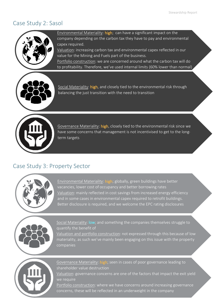## <span id="page-6-0"></span>Case Study 2: Sasol



Environmental Materiality: high; can have a significant impact on the company depending on the carbon tax they have to pay and environmental capex required.

Valuation: increasing carbon tax and environmental capex reflected in our value for the Mining and Fuels part of the business.

Portfolio construction: we are concerned around what the carbon tax will do to profitability. Therefore, we've used internal limits (60% lower than normal)



Social Materiality: high, and closely tied to the environmental risk through balancing the just transition with the need to transition

on the maximum position we would take in Sasol in a portfolio.



Governance Materiality: high, closely tied to the environmental risk since we have some concerns that management is not incentivised to get to the longterm targets

## <span id="page-6-1"></span>Case Study 3: Property Sector



Environmental Materiality: high; globally, green buildings have better vacancies, lower cost of occupancy and better borrowing rates Valuation: mainly reflected in cost savings from increased energy efficiency and in some cases in environmental capex required to retrofit buildings. Better disclosure is required, and we welcome the EPC rating disclosures



Social Materiality: low; and something the companies themselves struggle to quantify the benefit of

Valuation and portfolio construction: not expressed through this because of low materiality, as such we've mainly been engaging on this issue with the property companies



Governance Materiality: high; seen in cases of poor governance leading to shareholder value destruction

Valuation: governance concerns are one of the factors that impact the exit yield we require

Portfolio construction: where we have concerns around increasing governance concerns, these will be reflected in an underweight in the company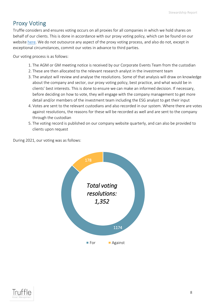## <span id="page-7-0"></span>Proxy Voting

Truffle considers and ensures voting occurs on all proxies for all companies in which we hold shares on behalf of our clients. This is done in accordance with our proxy voting policy, which can be found on our website [here.](https://www.truffle.co.za/docs/policies/Truffle_Responsible%20Investing%20Policy%20(Including%20Proxy%20Voting%20guidelines%20and%20ESG).pdf) We do not outsource any aspect of the proxy voting process, and also do not, except in exceptional circumstances, commit our votes in advance to third parties.

Our voting process is as follows:

- 1. The AGM or GM meeting notice is received by our Corporate Events Team from the custodian
- 2. These are then allocated to the relevant research analyst in the investment team
- 3. The analyst will review and analyse the resolutions. Some of that analysis will draw on knowledge about the company and sector, our proxy voting policy, best practice, and what would be in clients' best interests. This is done to ensure we can make an informed decision. If necessary, before deciding on how to vote, they will engage with the company management to get more detail and/or members of the investment team including the ESG analyst to get their input
- 4. Votes are sent to the relevant custodians and also recorded in our system. Where there are votes against resolutions, the reasons for these will be recorded as well and are sent to the company through the custodian
- 5. The voting record is published on our company website quarterly, and can also be provided to clients upon request

During 2021, our voting was as follows:



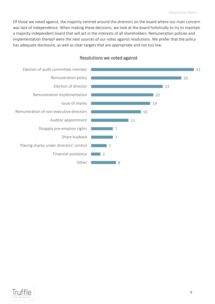Of those we voted against, the majority centred around the directors on the board where our main concern was lack of independence. When making these decisions, we look at the board holistically to try to maintain a majority independent board that will act in the interests of all shareholders. Remuneration policies and implementation thereof were the next sources of our votes against resolutions. We prefer that the policy has adequate disclosure, as well as clear targets that are appropriate and not too low.



#### Resolutions we voted against

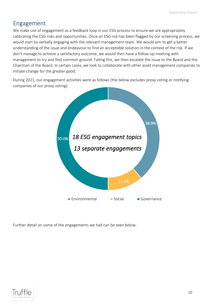## <span id="page-9-0"></span>Engagement

We make use of engagement as a feedback loop in our ESG process to ensure we are appropriately calibrating the ESG risks and opportunities. Once an ESG risk has been flagged by our screening process, we would start by verbally engaging with the relevant management team. We would aim to get a better understanding of the issue and endeavour to find an acceptable solution in the context of the risk. If we don't manage to achieve a satisfactory outcome, we would then have a follow-up meeting with management to try and find common ground. Failing this, we then escalate the issue to the Board and the Chairman of the Board. In certain cases, we look to collaborate with other asset management companies to initiate change for the greater good.

During 2021, our engagement activities were as follows (the below excludes proxy voting or notifying companies of our proxy voting):



Further detail on some of the engagements we had can be seen below.

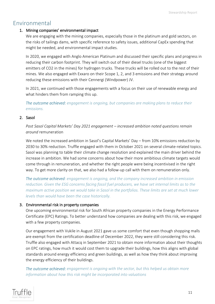## <span id="page-10-0"></span>Environmental

#### 1. Mining companies' environmental impact

We are engaging with the mining companies, especially those in the platinum and gold sectors, on the risks of tailings dams, with specific reference to safety issues, additional CapEx spending that might be needed, and environmental impact studies.

In 2020, we engaged with Anglo American Platinum and discussed their specific plans and progress in reducing their carbon footprint. They will switch out of their diesel trucks (one of the biggest emitters of CO2 in the mines) for hydrogen trucks. These trucks will be rolled out to the rest of their mines. We also engaged with Exxaro on their Scope 1, 2, and 3 emissions and their strategy around reducing these emissions with their Cennergi (Windpower) JV.

In 2021, we continued with those engagements with a focus on their use of renewable energy and what hinders them from ramping this up.

*The outcome achieved: engagement is ongoing, but companies are making plans to reduce their emissions.*

#### 2. Sasol

*Post Sasol Capital Markets' Day 2021 engagement – increased ambition noted questions remain around* remuneration

We noted the increased ambition in Sasol's Capital Markets' Day – from 10% emissions reduction by 2030 to 30% reduction. Truffle engaged with them in October 2021 on several climate-related topics. Sasol was planning to table their climate change resolution and explained the main driver behind the increase in ambition. We had some concerns about how their more ambitious climate targets would come through in remuneration, and whether the right people were being incentivised in the right way. To get more clarity on that, we also had a follow-up call with them on remuneration only.

*The outcome achieved: engagement is ongoing, and the company increased ambition in emission reduction. Given the ESG concerns facing fossil fuel producers, we have set internal limits as to the maximum active position we would take in Sasol in the portfolios. These limits are set at much lower levels than would have been the case historically.*

#### 3. Environmental risk in property companies

One upcoming environmental risk for South African property companies in the Energy Performance Certificate (EPC) Ratings. To better understand how companies are dealing with this risk, we engaged with a few property companies.

Our engagement with Vukile in August 2021 gave us some comfort that even though shopping malls are exempt from the certification deadline of December 2022, they were still considering this risk. Truffle also engaged with Attacq in September 2021 to obtain more information about their thoughts on EPC ratings, how much it would cost them to upgrade their buildings, how this aligns with global standards around energy efficiency and green buildings, as well as how they think about improving the energy efficiency of their buildings.

*The outcome achieved: engagement is ongoing with the sector, but this helped us obtain more information about how this risk might be incorporated into valuations*

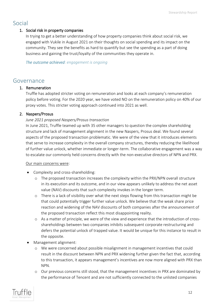## <span id="page-11-0"></span>Social

#### 1. Social risk in property companies

In trying to get a better understanding of how property companies think about social risk, we engaged with Vukile in August 2021 on their thoughts on social spending and its impact on the community. They see the benefits as hard to quantify but see the spending as a part of doing business and gaining the trust/loyalty of the communities they operate in.

*The outcome achieved: engagement is ongoing*

## <span id="page-11-1"></span>Governance

#### 1. Remuneration

Truffle has adopted stricter voting on remuneration and looks at each company's remuneration policy before voting. For the 2020 year, we have voted NO on the remuneration policy on 40% of our proxy votes. This stricter voting approach continued into 2021 as well.

#### 2. Naspers/Prosus

#### *June 2021 proposed Naspers/Prosus transaction*

In June 2021, Truffle teamed up with 35 other managers to question the complex shareholding structure and lack of management alignment in the new Naspers, Prosus deal. We found several aspects of the proposed transaction problematic. We were of the view that it introduces elements that serve to increase complexity in the overall company structures, thereby reducing the likelihood of further value unlock, whether immediate or longer-term. The collaborative engagement was a way to escalate our commonly held concerns directly with the non-executive directors of NPN and PRX.

#### Our main concerns were:

- Complexity and cross-shareholding:
	- o The proposed transaction increases the complexity within the PRX/NPN overall structure in its execution and its outcome, and in our view appears unlikely to address the net asset value (NAV) discounts that such complexity invokes in the longer term.
	- o There is a lack of visibility over what the next steps flowing from this transaction might be that could potentially trigger further value unlock. We believe that the weak share price reaction and widening of the NAV discounts of both companies after the announcement of the proposed transaction reflect this most disappointing reality.
	- o As a matter of principle, we were of the view and experience that the introduction of crossshareholdings between two companies inhibits subsequent corporate restructuring and defers the potential unlock of trapped value. It would be unique for this instance to result in the opposite.
- Management alignment:
	- o We were concerned about possible misalignment in management incentives that could result in the discount between NPN and PRX widening further given the fact that, according to this transaction, it appears management's incentives are now more aligned with PRX than NPN.
	- o Our previous concerns still stood, that the management incentives in PRX are dominated by the performance of Tencent and are not sufficiently connected to the unlisted companies

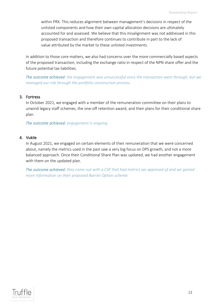within PRX. This reduces alignment between management's decisions in respect of the unlisted components and how their own capital allocation decisions are ultimately accounted for and assessed. We believe that this misalignment was not addressed in this proposed transaction and therefore continues to contribute in part to the lack of value attributed by the market to these unlisted investments.

In addition to those core matters, we also had concerns over the more commercially based aspects of the proposed transaction, including the exchange ratio in respect of the NPN share offer and the future potential tax liabilities.

*The outcome achieved: the engagement was unsuccessful since the transaction went through, but we managed our risk through the portfolio construction process.*

#### 3. Fortress

In October 2021, we engaged with a member of the remuneration committee on their plans to unwind legacy staff schemes, the one-off retention award, and their plans for their conditional share plan.

*The outcome achieved: engagement is ongoing*

#### 4. Vukile

In August 2021, we engaged on certain elements of their remuneration that we were concerned about, namely the metrics used in the past saw a very big focus on DPS growth, and not a more balanced approach. Once their Conditional Share Plan was updated, we had another engagement with them on the updated plan.

*The outcome achieved: they came out with a CSP that had metrics we approved of and we gained more information on their proposed Barrier Option scheme.*